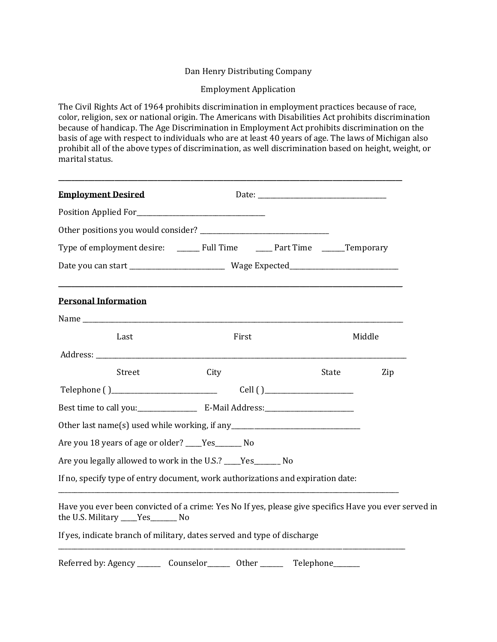### Dan Henry Distributing Company

#### Employment Application

The Civil Rights Act of 1964 prohibits discrimination in employment practices because of race, color, religion, sex or national origin. The Americans with Disabilities Act prohibits discrimination because of handicap. The Age Discrimination in Employment Act prohibits discrimination on the basis of age with respect to individuals who are at least 40 years of age. The laws of Michigan also prohibit all of the above types of discrimination, as well discrimination based on height, weight, or marital status.

| <b>Employment Desired</b>                                                                                                                                                                                                      |                                                             |       |        |
|--------------------------------------------------------------------------------------------------------------------------------------------------------------------------------------------------------------------------------|-------------------------------------------------------------|-------|--------|
|                                                                                                                                                                                                                                |                                                             |       |        |
|                                                                                                                                                                                                                                |                                                             |       |        |
|                                                                                                                                                                                                                                |                                                             |       |        |
|                                                                                                                                                                                                                                |                                                             |       |        |
| <b>Personal Information</b>                                                                                                                                                                                                    | <u> 1989 - Johann Stoff, amerikansk politiker (d. 1989)</u> |       |        |
| Name and the state of the state of the state of the state of the state of the state of the state of the state of the state of the state of the state of the state of the state of the state of the state of the state of the s |                                                             |       |        |
| Last                                                                                                                                                                                                                           | First                                                       |       | Middle |
|                                                                                                                                                                                                                                |                                                             |       |        |
| Street                                                                                                                                                                                                                         | City                                                        | State | Zip    |
|                                                                                                                                                                                                                                |                                                             |       |        |
|                                                                                                                                                                                                                                |                                                             |       |        |
| Other last name(s) used while working, if any __________________________________                                                                                                                                               |                                                             |       |        |
| Are you 18 years of age or older? _____Yes_________ No                                                                                                                                                                         |                                                             |       |        |
| Are you legally allowed to work in the U.S.? ____Yes_______ No                                                                                                                                                                 |                                                             |       |        |
| If no, specify type of entry document, work authorizations and expiration date:                                                                                                                                                |                                                             |       |        |
| Have you ever been convicted of a crime: Yes No If yes, please give specifics Have you ever served in<br>the U.S. Military ____Yes_______ No                                                                                   |                                                             |       |        |
| If yes, indicate branch of military, dates served and type of discharge                                                                                                                                                        |                                                             |       |        |
| Referred by: Agency _________ Counselor_________ Other __________ Telephone______                                                                                                                                              |                                                             |       |        |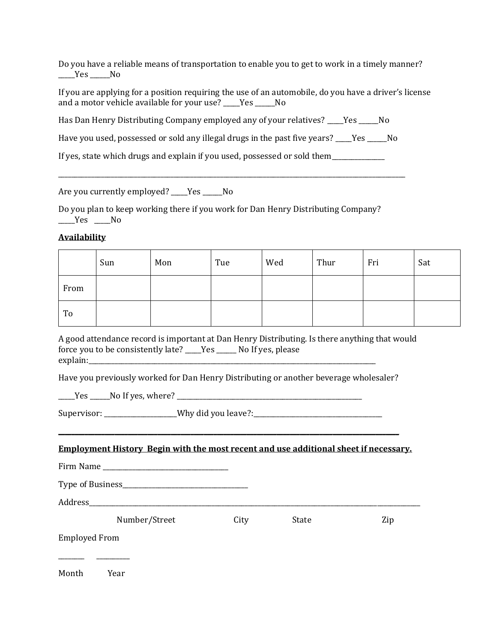Do you have a reliable means of transportation to enable you to get to work in a timely manner? Yes No

If you are applying for a position requiring the use of an automobile, do you have a driver's license and a motor vehicle available for your use? \_\_\_\_Yes \_\_\_\_\_No

Has Dan Henry Distributing Company employed any of your relatives? \_\_\_\_Yes \_\_\_\_\_No

Have you used, possessed or sold any illegal drugs in the past five years? \_\_\_\_Yes \_\_\_\_\_No

\_\_\_\_\_\_\_\_\_\_\_\_\_\_\_\_\_\_\_\_\_\_\_\_\_\_\_\_\_\_\_\_\_\_\_\_\_\_\_\_\_\_\_\_\_\_\_\_\_\_\_\_\_\_\_\_\_\_\_\_\_\_\_\_\_\_\_\_\_\_\_\_\_\_\_\_\_\_\_\_\_\_\_\_\_\_\_\_\_\_\_\_\_\_\_\_\_\_\_\_\_\_\_\_\_

If yes, state which drugs and explain if you used, possessed or sold them \_\_\_\_\_\_\_\_

Are you currently employed? \_\_\_\_Yes \_\_\_\_No

Do you plan to keep working there if you work for Dan Henry Distributing Company? \_\_\_\_\_Yes \_\_\_\_\_No

# **Availability**

|      | Sun | Mon | Tue | Wed | Thur | Fri | Sat |
|------|-----|-----|-----|-----|------|-----|-----|
| From |     |     |     |     |      |     |     |
| To   |     |     |     |     |      |     |     |

A good attendance record is important at Dan Henry Distributing. Is there anything that would force you to be consistently late? \_\_\_\_\_Yes \_\_\_\_\_\_ No If yes, please explain:

Have you previously worked for Dan Henry Distributing or another beverage wholesaler?

\_\_\_\_\_Yes \_\_\_\_\_\_No If yes, where? \_\_\_\_\_\_\_\_\_\_\_\_\_\_\_\_\_\_\_\_\_\_\_\_\_\_\_\_\_\_\_\_\_\_\_\_\_\_\_\_\_\_\_\_\_\_\_\_\_\_\_\_\_\_\_\_

Supervisor: \_\_\_\_\_\_\_\_\_\_\_\_\_\_\_\_\_\_Why did you leave?:\_\_\_\_\_\_\_\_\_\_\_\_\_\_\_\_\_\_\_\_\_\_\_\_\_\_\_\_\_\_\_\_

#### **Employment History Begin with the most recent and use additional sheet if necessary.**

**\_\_\_\_\_\_\_\_\_\_\_\_\_\_\_\_\_\_\_\_\_\_\_\_\_\_\_\_\_\_\_\_\_\_\_\_\_\_\_\_\_\_\_\_\_\_\_\_\_\_\_\_\_\_\_\_\_\_\_\_\_\_\_\_\_\_\_\_\_\_\_\_\_\_\_\_\_\_\_\_\_\_\_\_\_\_\_\_\_\_\_\_\_\_\_\_\_\_\_\_\_\_\_**

Firm Name \_\_\_\_\_\_\_\_\_\_\_\_\_\_\_\_\_\_\_\_\_\_\_\_\_\_\_\_\_\_\_\_\_\_\_\_\_\_

Type of Business\_\_\_\_\_\_\_\_\_\_\_\_\_\_\_\_\_\_\_\_\_\_\_\_\_\_\_\_\_\_\_\_\_\_\_\_\_\_

Address\_\_\_\_\_\_\_\_\_\_\_\_\_\_\_\_\_\_\_\_\_\_\_\_\_\_\_\_\_\_\_\_\_\_\_\_\_\_\_\_\_\_\_\_\_\_\_\_\_\_\_\_\_\_\_\_\_\_\_\_\_\_\_\_\_\_\_\_\_\_\_\_\_\_\_\_\_\_\_\_\_\_\_\_\_\_\_\_\_\_\_\_\_\_\_\_\_\_\_\_

Number/Street City State Zip

Employed From

Month Year

\_\_\_\_\_\_\_\_ \_\_\_\_\_\_\_\_\_\_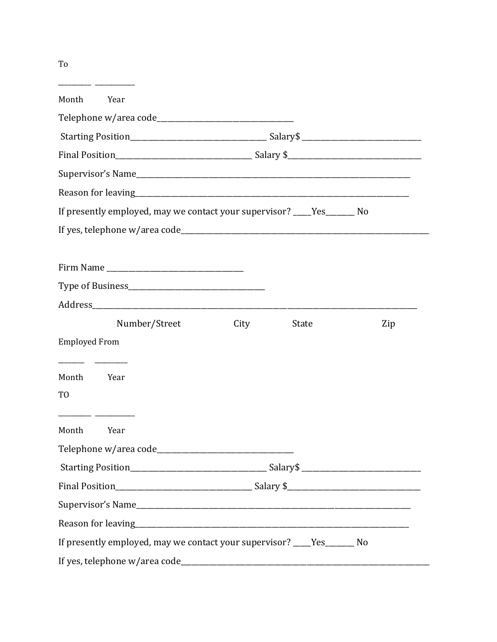| Month<br>Year                                                            |      |       |     |
|--------------------------------------------------------------------------|------|-------|-----|
|                                                                          |      |       |     |
|                                                                          |      |       |     |
|                                                                          |      |       |     |
|                                                                          |      |       |     |
|                                                                          |      |       |     |
| If presently employed, may we contact your supervisor? ____Yes_______ No |      |       |     |
|                                                                          |      |       |     |
|                                                                          |      |       |     |
|                                                                          |      |       |     |
|                                                                          |      |       |     |
|                                                                          |      |       |     |
| Number/Street                                                            | City | State | Zip |
| <b>Employed From</b>                                                     |      |       |     |
|                                                                          |      |       |     |
| Month<br>Year                                                            |      |       |     |
| TO                                                                       |      |       |     |
| Month<br>Year                                                            |      |       |     |
|                                                                          |      |       |     |
|                                                                          |      |       |     |
|                                                                          |      |       |     |
|                                                                          |      |       |     |
|                                                                          |      |       |     |
| If presently employed, may we contact your supervisor? ____Yes_______ No |      |       |     |
|                                                                          |      |       |     |

To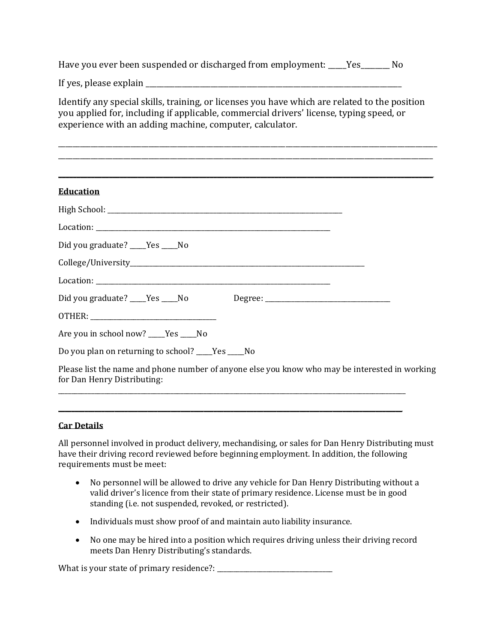Have you ever been suspended or discharged from employment: \_\_\_\_Yes\_\_\_\_\_\_\_ No

If yes, please explain  $\overline{a}$ 

Identify any special skills, training, or licenses you have which are related to the position you applied for, including if applicable, commercial drivers' license, typing speed, or experience with an adding machine, computer, calculator.

\_\_\_\_\_\_\_\_\_\_\_\_\_\_\_\_\_\_\_\_\_\_\_\_\_\_\_\_\_\_\_\_\_\_\_\_\_\_\_\_\_\_\_\_\_\_\_\_\_\_\_\_\_\_\_\_\_\_\_\_\_\_\_\_\_\_\_\_\_\_\_\_\_\_\_\_\_\_\_\_\_\_\_\_\_\_\_\_\_\_\_\_\_\_\_\_\_\_\_\_\_\_\_\_\_ \_\_\_\_\_\_\_\_\_\_\_\_\_\_\_\_\_\_\_\_\_\_\_\_\_\_\_\_\_\_\_\_\_\_\_\_\_\_\_\_\_\_\_\_\_\_\_\_\_\_\_\_\_\_\_\_\_\_\_\_\_\_\_\_\_\_\_\_\_\_\_\_\_\_\_\_\_\_\_\_\_\_\_\_\_\_\_\_\_\_\_\_\_\_\_\_\_\_\_\_\_\_\_\_

| <b>Education</b>                                                                                                              |
|-------------------------------------------------------------------------------------------------------------------------------|
|                                                                                                                               |
|                                                                                                                               |
| Did you graduate? ____Yes ____No                                                                                              |
|                                                                                                                               |
|                                                                                                                               |
|                                                                                                                               |
|                                                                                                                               |
| Are you in school now? ____Yes ____No                                                                                         |
| Do you plan on returning to school? ____Yes ____No                                                                            |
| Please list the name and phone number of anyone else you know who may be interested in working<br>for Dan Henry Distributing: |

# **Car Details**

All personnel involved in product delivery, mechandising, or sales for Dan Henry Distributing must have their driving record reviewed before beginning employment. In addition, the following requirements must be meet:

**\_\_\_\_\_\_\_\_\_\_\_\_\_\_\_\_\_\_\_\_\_\_\_\_\_\_\_\_\_\_\_\_\_\_\_\_\_\_\_\_\_\_\_\_\_\_\_\_\_\_\_\_\_\_\_\_\_\_\_\_\_\_\_\_\_\_\_\_\_\_\_\_\_\_\_\_\_\_\_\_\_\_\_\_\_\_\_\_\_\_\_\_\_\_\_\_\_\_\_\_\_\_\_\_**

- No personnel will be allowed to drive any vehicle for Dan Henry Distributing without a valid driver's licence from their state of primary residence. License must be in good standing (i.e. not suspended, revoked, or restricted).
- Individuals must show proof of and maintain auto liability insurance.
- No one may be hired into a position which requires driving unless their driving record meets Dan Henry Distributing's standards.

What is your state of primary residence?: \_\_\_\_\_\_\_\_\_\_\_\_\_\_\_\_\_\_\_\_\_\_\_\_\_\_\_\_\_\_\_\_\_\_\_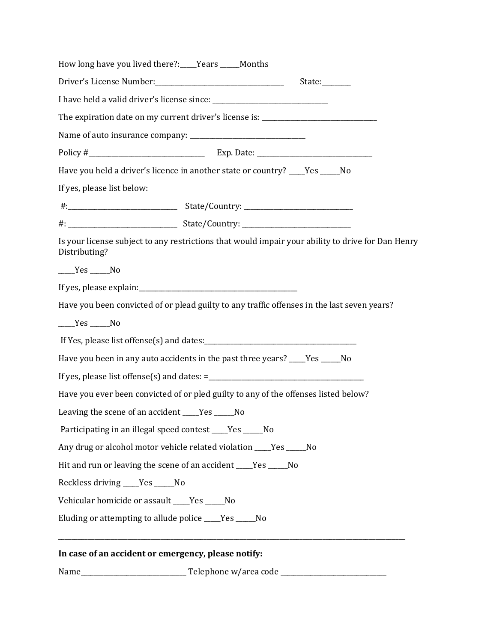| In case of an accident or emergency, please notify:                                                                |
|--------------------------------------------------------------------------------------------------------------------|
| Eluding or attempting to allude police ____Yes _____No                                                             |
| Vehicular homicide or assault ____Yes _____No                                                                      |
| Reckless driving ____Yes _____No                                                                                   |
| Hit and run or leaving the scene of an accident ____Yes _____No                                                    |
| Any drug or alcohol motor vehicle related violation ____Yes _____No                                                |
| Participating in an illegal speed contest ____Yes _____No                                                          |
| Leaving the scene of an accident ____Yes _____No                                                                   |
| Have you ever been convicted of or pled guilty to any of the offenses listed below?                                |
|                                                                                                                    |
| Have you been in any auto accidents in the past three years? ___Yes ____No                                         |
|                                                                                                                    |
| $Yes$ No                                                                                                           |
| Have you been convicted of or plead guilty to any traffic offenses in the last seven years?                        |
|                                                                                                                    |
| $Yes$ No                                                                                                           |
| Is your license subject to any restrictions that would impair your ability to drive for Dan Henry<br>Distributing? |
|                                                                                                                    |
|                                                                                                                    |
| If yes, please list below:                                                                                         |
| Have you held a driver's licence in another state or country? ___Yes ____No                                        |
|                                                                                                                    |
|                                                                                                                    |
| The expiration date on my current driver's license is: _________________________                                   |
|                                                                                                                    |
| Driver's License Number:<br><u> </u><br>State:                                                                     |
| How long have you lived there?:____Years _____Months                                                               |